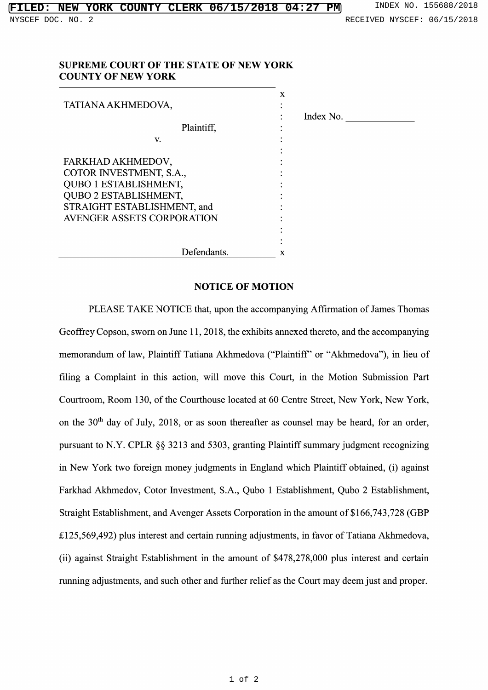## SUPREME COURT OF THE STATE OF NEW YORK COUNTY OF NEW YORK

|                                   | X         |
|-----------------------------------|-----------|
| TATIANA AKHMEDOVA,                |           |
|                                   | Index No. |
| Plaintiff,                        |           |
| V.                                |           |
|                                   |           |
| FARKHAD AKHMEDOV,                 |           |
| COTOR INVESTMENT, S.A.,           |           |
| QUBO 1 ESTABLISHMENT,             |           |
| <b>QUBO 2 ESTABLISHMENT,</b>      |           |
| STRAIGHT ESTABLISHMENT, and       |           |
| <b>AVENGER ASSETS CORPORATION</b> |           |
|                                   |           |
|                                   |           |
| Defendants.                       | x         |

## NOTICE OF MOTION

PLEASE TAKE NOTICE that, upon the accompanying Affirmation of James Thom Geoffrey Copson, sworn on June  $11, 2018$ , the exhibits annexed thereto, and the accompanying memorandum of law, Plaintiff Tatiana Akhmedova ("Plaintiff" or "Akhmedova"), in lieu o filing <sup>a</sup> Complaint in this action, will move this Court, in the Motion Submission Part Courtroom, Room 130, of the Courthouse located at <sup>60</sup> Centre Street, New York, New York, on the  $30<sup>th</sup>$  day of July, 2018, or as soon thereafter as counsel may be heard, for an ord pursuant to N.Y. CPLR  $\S$  $\S$   $3213$  and  $5303$ , granting Plaintiff summary judgment recogni in New York two foreign money judgments in England which Plaintiff obtained, (i) again Farkhad Akhmedov, Cotor Investment, S.A., Qubo <sup>1</sup> Establishment, Qubo <sup>2</sup> Establishment, Straight Establishment, and Avenger Assets Corporation in the amount of \$166,743,728 (GBP £125,569,492) plus interest and certain running adjustments, in favor of Tatiana Akhmedova, (ii) against Straight Establishment in the amount of \$478,278,000 plus interest and certain running adjustments, and such other and further relief as the Court may deem just and proper.